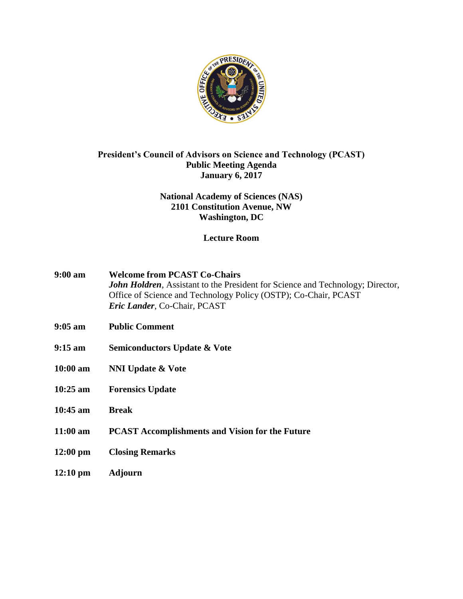

# **President's Council of Advisors on Science and Technology (PCAST) Public Meeting Agenda January 6, 2017**

# **National Academy of Sciences (NAS) 2101 Constitution Avenue, NW Washington, DC**

# **Lecture Room**

- **9:00 am Welcome from PCAST Co-Chairs** *John Holdren*, Assistant to the President for Science and Technology; Director, Office of Science and Technology Policy (OSTP); Co-Chair, PCAST *Eric Lander*, Co-Chair, PCAST
- **9:05 am Public Comment**
- **9:15 am Semiconductors Update & Vote**
- **10:00 am NNI Update & Vote**
- **10:25 am Forensics Update**
- **10:45 am Break**
- **11:00 am PCAST Accomplishments and Vision for the Future**
- **12:00 pm Closing Remarks**
- **12:10 pm Adjourn**